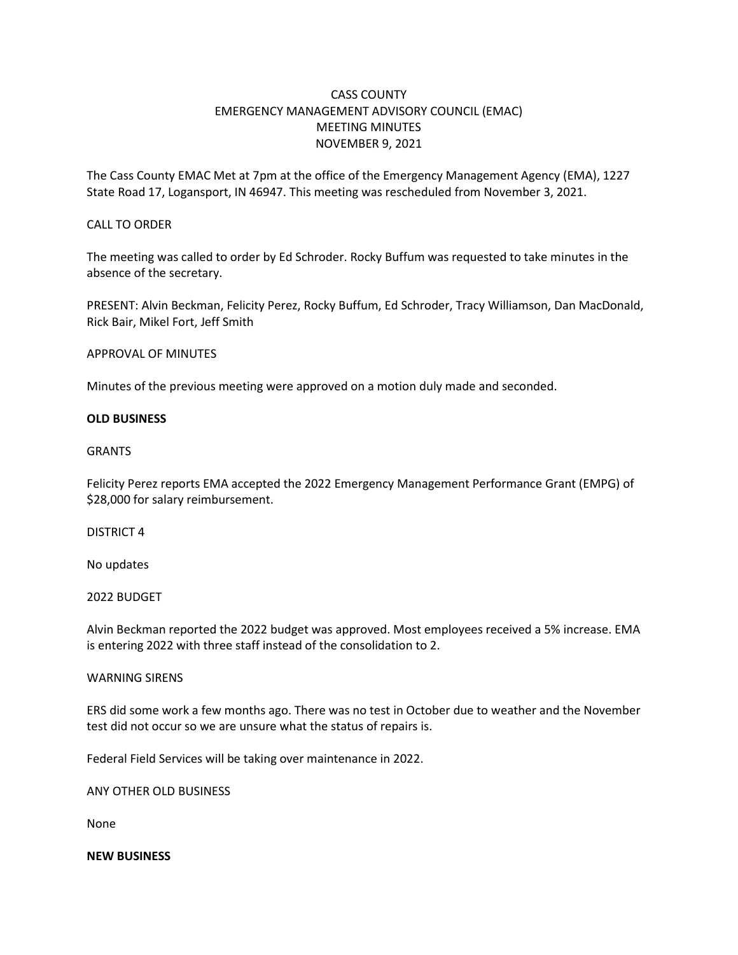# CASS COUNTY EMERGENCY MANAGEMENT ADVISORY COUNCIL (EMAC) MEETING MINUTES NOVEMBER 9, 2021

The Cass County EMAC Met at 7pm at the office of the Emergency Management Agency (EMA), 1227 State Road 17, Logansport, IN 46947. This meeting was rescheduled from November 3, 2021.

# CALL TO ORDER

The meeting was called to order by Ed Schroder. Rocky Buffum was requested to take minutes in the absence of the secretary.

PRESENT: Alvin Beckman, Felicity Perez, Rocky Buffum, Ed Schroder, Tracy Williamson, Dan MacDonald, Rick Bair, Mikel Fort, Jeff Smith

# APPROVAL OF MINUTES

Minutes of the previous meeting were approved on a motion duly made and seconded.

# **OLD BUSINESS**

# GRANTS

Felicity Perez reports EMA accepted the 2022 Emergency Management Performance Grant (EMPG) of \$28,000 for salary reimbursement.

# DISTRICT 4

No updates

# 2022 BUDGET

Alvin Beckman reported the 2022 budget was approved. Most employees received a 5% increase. EMA is entering 2022 with three staff instead of the consolidation to 2.

# WARNING SIRENS

ERS did some work a few months ago. There was no test in October due to weather and the November test did not occur so we are unsure what the status of repairs is.

Federal Field Services will be taking over maintenance in 2022.

ANY OTHER OLD BUSINESS

None

# **NEW BUSINESS**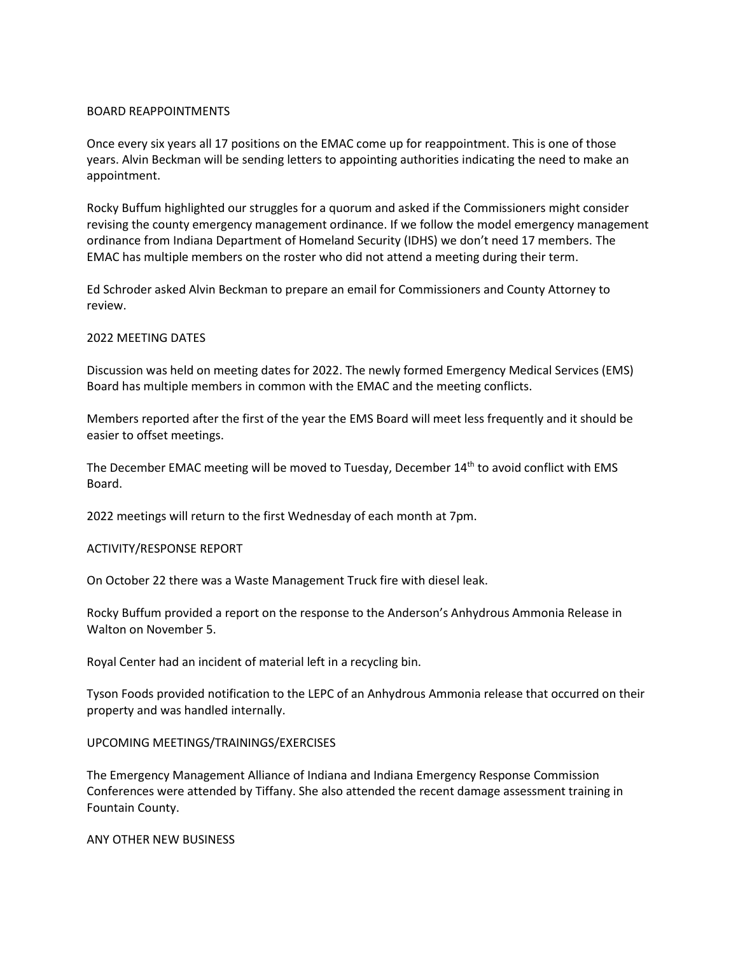# BOARD REAPPOINTMENTS

Once every six years all 17 positions on the EMAC come up for reappointment. This is one of those years. Alvin Beckman will be sending letters to appointing authorities indicating the need to make an appointment.

Rocky Buffum highlighted our struggles for a quorum and asked if the Commissioners might consider revising the county emergency management ordinance. If we follow the model emergency management ordinance from Indiana Department of Homeland Security (IDHS) we don't need 17 members. The EMAC has multiple members on the roster who did not attend a meeting during their term.

Ed Schroder asked Alvin Beckman to prepare an email for Commissioners and County Attorney to review.

#### 2022 MEETING DATES

Discussion was held on meeting dates for 2022. The newly formed Emergency Medical Services (EMS) Board has multiple members in common with the EMAC and the meeting conflicts.

Members reported after the first of the year the EMS Board will meet less frequently and it should be easier to offset meetings.

The December EMAC meeting will be moved to Tuesday, December 14<sup>th</sup> to avoid conflict with EMS Board.

2022 meetings will return to the first Wednesday of each month at 7pm.

#### ACTIVITY/RESPONSE REPORT

On October 22 there was a Waste Management Truck fire with diesel leak.

Rocky Buffum provided a report on the response to the Anderson's Anhydrous Ammonia Release in Walton on November 5.

Royal Center had an incident of material left in a recycling bin.

Tyson Foods provided notification to the LEPC of an Anhydrous Ammonia release that occurred on their property and was handled internally.

# UPCOMING MEETINGS/TRAININGS/EXERCISES

The Emergency Management Alliance of Indiana and Indiana Emergency Response Commission Conferences were attended by Tiffany. She also attended the recent damage assessment training in Fountain County.

#### ANY OTHER NEW BUSINESS